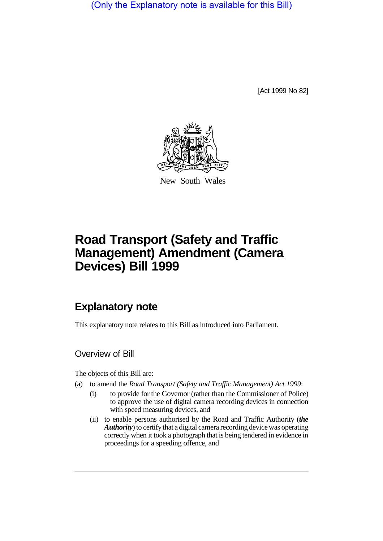(Only the Explanatory note is available for this Bill)

[Act 1999 No 82]



New South Wales

# **Road Transport (Safety and Traffic Management) Amendment (Camera Devices) Bill 1999**

## **Explanatory note**

This explanatory note relates to this Bill as introduced into Parliament.

## Overview of Bill

The objects of this Bill are:

- (a) to amend the *Road Transport (Safety and Traffic Management) Act 1999*:
	- (i) to provide for the Governor (rather than the Commissioner of Police) to approve the use of digital camera recording devices in connection with speed measuring devices, and
	- (ii) to enable persons authorised by the Road and Traffic Authority (*the Authority*) to certify that a digital camera recording device was operating correctly when it took a photograph that is being tendered in evidence in proceedings for a speeding offence, and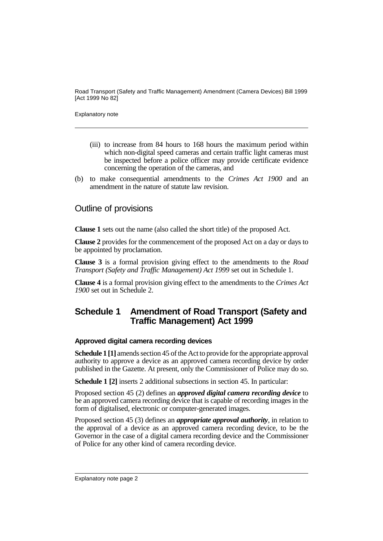Road Transport (Safety and Traffic Management) Amendment (Camera Devices) Bill 1999 [Act 1999 No 82]

Explanatory note

- (iii) to increase from 84 hours to 168 hours the maximum period within which non-digital speed cameras and certain traffic light cameras must be inspected before a police officer may provide certificate evidence concerning the operation of the cameras, and
- (b) to make consequential amendments to the *Crimes Act 1900* and an amendment in the nature of statute law revision.

#### Outline of provisions

**Clause 1** sets out the name (also called the short title) of the proposed Act.

**Clause 2** provides for the commencement of the proposed Act on a day or days to be appointed by proclamation.

**Clause 3** is a formal provision giving effect to the amendments to the *Road Transport (Safety and Traffic Management) Act 1999* set out in Schedule 1.

**Clause 4** is a formal provision giving effect to the amendments to the *Crimes Act 1900* set out in Schedule 2.

## **Schedule 1 Amendment of Road Transport (Safety and Traffic Management) Act 1999**

#### **Approved digital camera recording devices**

**Schedule 1** [1] amends section 45 of the Act to provide for the appropriate approval authority to approve a device as an approved camera recording device by order published in the Gazette. At present, only the Commissioner of Police may do so.

**Schedule 1 [2]** inserts 2 additional subsections in section 45. In particular:

Proposed section 45 (2) defines an *approved digital camera recording device* to be an approved camera recording device that is capable of recording images in the form of digitalised, electronic or computer-generated images.

Proposed section 45 (3) defines an *appropriate approval authority*, in relation to the approval of a device as an approved camera recording device, to be the Governor in the case of a digital camera recording device and the Commissioner of Police for any other kind of camera recording device.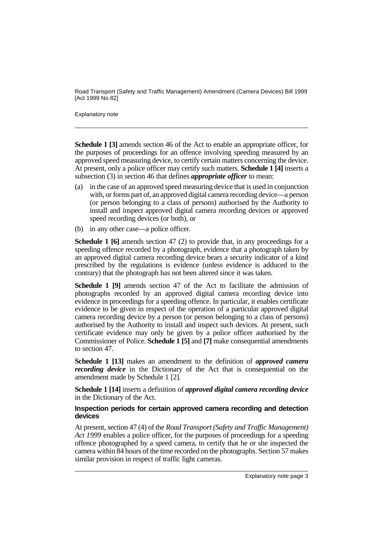Road Transport (Safety and Traffic Management) Amendment (Camera Devices) Bill 1999 [Act 1999 No 82]

Explanatory note

**Schedule 1 [3]** amends section 46 of the Act to enable an appropriate officer, for the purposes of proceedings for an offence involving speeding measured by an approved speed measuring device, to certify certain matters concerning the device. At present, only a police officer may certify such matters. **Schedule 1 [4]** inserts a subsection (3) in section 46 that defines *appropriate officer* to mean:

- (a) in the case of an approved speed measuring device that is used in conjunction with, or forms part of, an approved digital camera recording device—a person (or person belonging to a class of persons) authorised by the Authority to install and inspect approved digital camera recording devices or approved speed recording devices (or both), or
- (b) in any other case—a police officer.

**Schedule 1 [6]** amends section 47 (2) to provide that, in any proceedings for a speeding offence recorded by a photograph, evidence that a photograph taken by an approved digital camera recording device bears a security indicator of a kind prescribed by the regulations is evidence (unless evidence is adduced to the contrary) that the photograph has not been altered since it was taken.

**Schedule 1 [9]** amends section 47 of the Act to facilitate the admission of photographs recorded by an approved digital camera recording device into evidence in proceedings for a speeding offence. In particular, it enables certificate evidence to be given in respect of the operation of a particular approved digital camera recording device by a person (or person belonging to a class of persons) authorised by the Authority to install and inspect such devices. At present, such certificate evidence may only be given by a police officer authorised by the Commissioner of Police. **Schedule 1 [5]** and **[7]** make consequential amendments to section 47.

**Schedule 1 [13]** makes an amendment to the definition of *approved camera recording device* in the Dictionary of the Act that is consequential on the amendment made by Schedule 1 [2].

**Schedule 1 [14]** inserts a definition of *approved digital camera recording device* in the Dictionary of the Act.

#### **Inspection periods for certain approved camera recording and detection devices**

At present, section 47 (4) of the *Road Transport (Safety and Traffic Management) Act 1999* enables a police officer, for the purposes of proceedings for a speeding offence photographed by a speed camera, to certify that he or she inspected the camera within 84 hours of the time recorded on the photographs. Section 57 makes similar provision in respect of traffic light cameras.